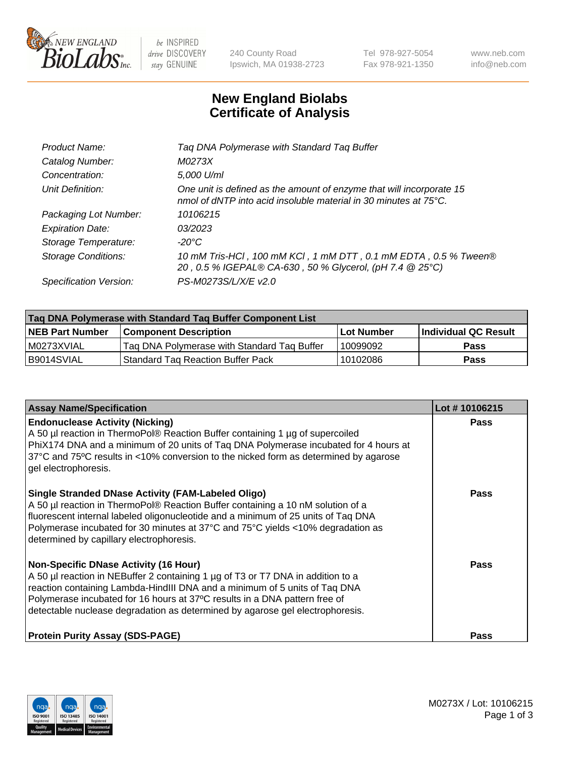

 $be$  INSPIRED drive DISCOVERY stay GENUINE

240 County Road Ipswich, MA 01938-2723 Tel 978-927-5054 Fax 978-921-1350 www.neb.com info@neb.com

## **New England Biolabs Certificate of Analysis**

| Product Name:              | Tag DNA Polymerase with Standard Tag Buffer                                                                                              |
|----------------------------|------------------------------------------------------------------------------------------------------------------------------------------|
| Catalog Number:            | M0273X                                                                                                                                   |
| Concentration:             | 5,000 U/ml                                                                                                                               |
| Unit Definition:           | One unit is defined as the amount of enzyme that will incorporate 15<br>nmol of dNTP into acid insoluble material in 30 minutes at 75°C. |
| Packaging Lot Number:      | 10106215                                                                                                                                 |
| <b>Expiration Date:</b>    | 03/2023                                                                                                                                  |
| Storage Temperature:       | $-20^{\circ}$ C                                                                                                                          |
| <b>Storage Conditions:</b> | 10 mM Tris-HCI, 100 mM KCI, 1 mM DTT, 0.1 mM EDTA, 0.5 % Tween®<br>20, 0.5 % IGEPAL® CA-630, 50 % Glycerol, (pH 7.4 @ 25°C)              |
| Specification Version:     | PS-M0273S/L/X/E v2.0                                                                                                                     |

| Tag DNA Polymerase with Standard Tag Buffer Component List |                                             |                   |                      |  |
|------------------------------------------------------------|---------------------------------------------|-------------------|----------------------|--|
| <b>NEB Part Number</b>                                     | Component Description_                      | <b>Lot Number</b> | Individual QC Result |  |
| M0273XVIAL                                                 | Tag DNA Polymerase with Standard Tag Buffer | 10099092          | Pass                 |  |
| B9014SVIAL                                                 | <b>Standard Tag Reaction Buffer Pack</b>    | 10102086          | <b>Pass</b>          |  |

| <b>Assay Name/Specification</b>                                                                                                                                                                                                                                                                                                                                              | Lot #10106215 |
|------------------------------------------------------------------------------------------------------------------------------------------------------------------------------------------------------------------------------------------------------------------------------------------------------------------------------------------------------------------------------|---------------|
| <b>Endonuclease Activity (Nicking)</b><br>A 50 µl reaction in ThermoPol® Reaction Buffer containing 1 µg of supercoiled<br>PhiX174 DNA and a minimum of 20 units of Taq DNA Polymerase incubated for 4 hours at<br>37°C and 75°C results in <10% conversion to the nicked form as determined by agarose<br>gel electrophoresis.                                              | Pass          |
| <b>Single Stranded DNase Activity (FAM-Labeled Oligo)</b><br>A 50 µl reaction in ThermoPol® Reaction Buffer containing a 10 nM solution of a<br>fluorescent internal labeled oligonucleotide and a minimum of 25 units of Taq DNA<br>Polymerase incubated for 30 minutes at 37°C and 75°C yields <10% degradation as<br>determined by capillary electrophoresis.             | Pass          |
| <b>Non-Specific DNase Activity (16 Hour)</b><br>A 50 µl reaction in NEBuffer 2 containing 1 µg of T3 or T7 DNA in addition to a<br>reaction containing Lambda-HindIII DNA and a minimum of 5 units of Taq DNA<br>Polymerase incubated for 16 hours at 37°C results in a DNA pattern free of<br>detectable nuclease degradation as determined by agarose gel electrophoresis. | Pass          |
| <b>Protein Purity Assay (SDS-PAGE)</b>                                                                                                                                                                                                                                                                                                                                       | Pass          |

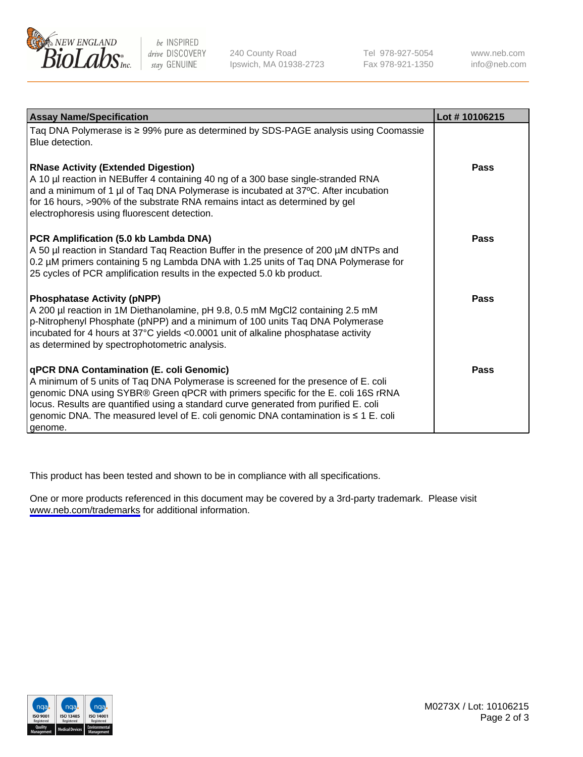

be INSPIRED drive DISCOVERY stay GENUINE

240 County Road Ipswich, MA 01938-2723 Tel 978-927-5054 Fax 978-921-1350

www.neb.com info@neb.com

| <b>Assay Name/Specification</b>                                                                                                                                                                                                                                                                                                                                                                                      | Lot #10106215 |
|----------------------------------------------------------------------------------------------------------------------------------------------------------------------------------------------------------------------------------------------------------------------------------------------------------------------------------------------------------------------------------------------------------------------|---------------|
| Taq DNA Polymerase is $\geq$ 99% pure as determined by SDS-PAGE analysis using Coomassie<br>Blue detection.                                                                                                                                                                                                                                                                                                          |               |
| <b>RNase Activity (Extended Digestion)</b><br>A 10 µl reaction in NEBuffer 4 containing 40 ng of a 300 base single-stranded RNA<br>and a minimum of 1 µl of Taq DNA Polymerase is incubated at 37°C. After incubation<br>for 16 hours, >90% of the substrate RNA remains intact as determined by gel<br>electrophoresis using fluorescent detection.                                                                 | Pass          |
| PCR Amplification (5.0 kb Lambda DNA)<br>A 50 µl reaction in Standard Taq Reaction Buffer in the presence of 200 µM dNTPs and<br>0.2 µM primers containing 5 ng Lambda DNA with 1.25 units of Taq DNA Polymerase for<br>25 cycles of PCR amplification results in the expected 5.0 kb product.                                                                                                                       | Pass          |
| <b>Phosphatase Activity (pNPP)</b><br>A 200 µl reaction in 1M Diethanolamine, pH 9.8, 0.5 mM MgCl2 containing 2.5 mM<br>p-Nitrophenyl Phosphate (pNPP) and a minimum of 100 units Taq DNA Polymerase<br>incubated for 4 hours at 37°C yields <0.0001 unit of alkaline phosphatase activity<br>as determined by spectrophotometric analysis.                                                                          | Pass          |
| <b>qPCR DNA Contamination (E. coli Genomic)</b><br>A minimum of 5 units of Taq DNA Polymerase is screened for the presence of E. coli<br>genomic DNA using SYBR® Green qPCR with primers specific for the E. coli 16S rRNA<br>locus. Results are quantified using a standard curve generated from purified E. coli<br>genomic DNA. The measured level of E. coli genomic DNA contamination is ≤ 1 E. coli<br>qenome. | Pass          |

This product has been tested and shown to be in compliance with all specifications.

One or more products referenced in this document may be covered by a 3rd-party trademark. Please visit <www.neb.com/trademarks>for additional information.